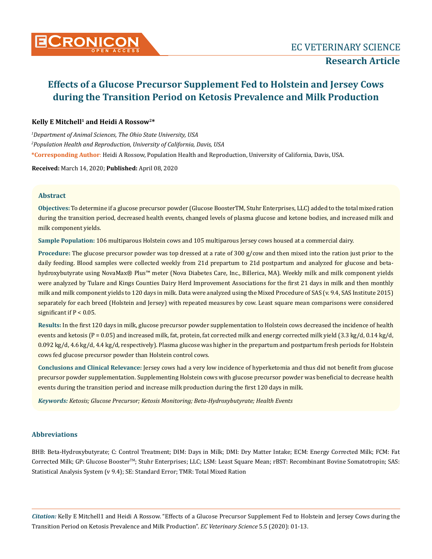

# **Kelly E Mitchell1 and Heidi A Rossow2\***

*1 Department of Animal Sciences, The Ohio State University, USA 2 Population Health and Reproduction, University of California, Davis, USA* **\*Corresponding Author**: Heidi A Rossow, Population Health and Reproduction, University of California, Davis, USA.

**Received:** March 14, 2020; **Published:** April 08, 2020

## **Abstract**

**Objectives:** To determine if a glucose precursor powder (Glucose BoosterTM, Stuhr Enterprises, LLC) added to the total mixed ration during the transition period, decreased health events, changed levels of plasma glucose and ketone bodies, and increased milk and milk component yields.

**Sample Population:** 106 multiparous Holstein cows and 105 multiparous Jersey cows housed at a commercial dairy.

**Procedure:** The glucose precursor powder was top dressed at a rate of 300 g/cow and then mixed into the ration just prior to the daily feeding. Blood samples were collected weekly from 21d prepartum to 21d postpartum and analyzed for glucose and betahydroxybutyrate using NovaMax® Plus™ meter (Nova Diabetes Care, Inc., Billerica, MA). Weekly milk and milk component yields were analyzed by Tulare and Kings Counties Dairy Herd Improvement Associations for the first 21 days in milk and then monthly milk and milk component yields to 120 days in milk. Data were analyzed using the Mixed Procedure of SAS (v. 9.4, SAS Institute 2015) separately for each breed (Holstein and Jersey) with repeated measures by cow. Least square mean comparisons were considered significant if  $P < 0.05$ .

**Results:** In the first 120 days in milk, glucose precursor powder supplementation to Holstein cows decreased the incidence of health events and ketosis (P = 0.05) and increased milk, fat, protein, fat corrected milk and energy corrected milk yield (3.3 kg/d, 0.14 kg/d, 0.092 kg/d, 4.6 kg/d, 4.4 kg/d, respectively). Plasma glucose was higher in the prepartum and postpartum fresh periods for Holstein cows fed glucose precursor powder than Holstein control cows.

**Conclusions and Clinical Relevance:** Jersey cows had a very low incidence of hyperketomia and thus did not benefit from glucose precursor powder supplementation. Supplementing Holstein cows with glucose precursor powder was beneficial to decrease health events during the transition period and increase milk production during the first 120 days in milk.

*Keywords: Ketosis; Glucose Precursor; Ketosis Monitoring; Beta-Hydroxybutyrate; Health Events* 

# **Abbreviations**

BHB: Beta-Hydroxybutyrate; C: Control Treatment; DIM: Days in Milk; DMI: Dry Matter Intake; ECM: Energy Corrected Milk; FCM: Fat Corrected Milk; GP: Glucose BoosterTM; Stuhr Enterprises; LLC; LSM: Least Square Mean; rBST: Recombinant Bovine Somatotropin; SAS: Statistical Analysis System (v 9.4); SE: Standard Error; TMR: Total Mixed Ration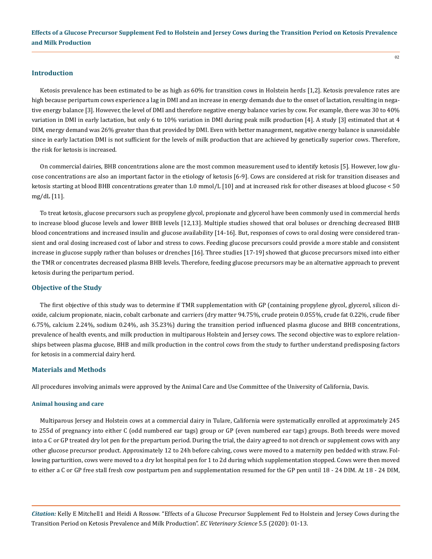## **Introduction**

Ketosis prevalence has been estimated to be as high as 60% for transition cows in Holstein herds [1,2]. Ketosis prevalence rates are high because peripartum cows experience a lag in DMI and an increase in energy demands due to the onset of lactation, resulting in negative energy balance [3]. However, the level of DMI and therefore negative energy balance varies by cow. For example, there was 30 to 40% variation in DMI in early lactation, but only 6 to 10% variation in DMI during peak milk production [4]. A study [3] estimated that at 4 DIM, energy demand was 26% greater than that provided by DMI. Even with better management, negative energy balance is unavoidable since in early lactation DMI is not sufficient for the levels of milk production that are achieved by genetically superior cows. Therefore, the risk for ketosis is increased.

On commercial dairies, BHB concentrations alone are the most common measurement used to identify ketosis [5]. However, low glucose concentrations are also an important factor in the etiology of ketosis [6-9]. Cows are considered at risk for transition diseases and ketosis starting at blood BHB concentrations greater than 1.0 mmol/L [10] and at increased risk for other diseases at blood glucose < 50 mg/dL [11].

To treat ketosis, glucose precursors such as propylene glycol, propionate and glycerol have been commonly used in commercial herds to increase blood glucose levels and lower BHB levels [12,13]. Multiple studies showed that oral boluses or drenching decreased BHB blood concentrations and increased insulin and glucose availability [14-16]. But, responses of cows to oral dosing were considered transient and oral dosing increased cost of labor and stress to cows. Feeding glucose precursors could provide a more stable and consistent increase in glucose supply rather than boluses or drenches [16]. Three studies [17-19] showed that glucose precursors mixed into either the TMR or concentrates decreased plasma BHB levels. Therefore, feeding glucose precursors may be an alternative approach to prevent ketosis during the peripartum period.

## **Objective of the Study**

The first objective of this study was to determine if TMR supplementation with GP (containing propylene glycol, glycerol, silicon dioxide, calcium propionate, niacin, cobalt carbonate and carriers (dry matter 94.75%, crude protein 0.055%, crude fat 0.22%, crude fiber 6.75%, calcium 2.24%, sodium 0.24%, ash 35.23%) during the transition period influenced plasma glucose and BHB concentrations, prevalence of health events, and milk production in multiparous Holstein and Jersey cows. The second objective was to explore relationships between plasma glucose, BHB and milk production in the control cows from the study to further understand predisposing factors for ketosis in a commercial dairy herd.

#### **Materials and Methods**

All procedures involving animals were approved by the Animal Care and Use Committee of the University of California, Davis.

#### **Animal housing and care**

Multiparous Jersey and Holstein cows at a commercial dairy in Tulare, California were systematically enrolled at approximately 245 to 255d of pregnancy into either C (odd numbered ear tags) group or GP (even numbered ear tags) groups. Both breeds were moved into a C or GP treated dry lot pen for the prepartum period. During the trial, the dairy agreed to not drench or supplement cows with any other glucose precursor product. Approximately 12 to 24h before calving, cows were moved to a maternity pen bedded with straw. Following parturition, cows were moved to a dry lot hospital pen for 1 to 2d during which supplementation stopped. Cows were then moved to either a C or GP free stall fresh cow postpartum pen and supplementation resumed for the GP pen until 18 - 24 DIM. At 18 - 24 DIM,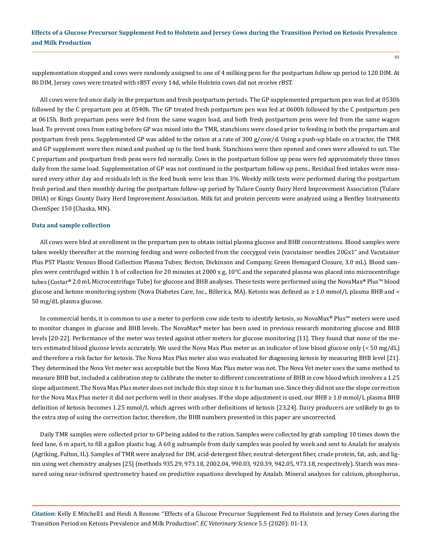supplementation stopped and cows were randomly assigned to one of 4 milking pens for the postpartum follow up period to 120 DIM. At 80 DIM, Jersey cows were treated with rBST every 14d, while Holstein cows did not receive rBST.

All cows were fed once daily in the prepartum and fresh postpartum periods. The GP supplemented prepartum pen was fed at 0530h followed by the C prepartum pen at 0540h. The GP treated fresh postpartum pen was fed at 0600h followed by the C postpartum pen at 0615h. Both prepartum pens were fed from the same wagon load, and both fresh postpartum pens were fed from the same wagon load. To prevent cows from eating before GP was mixed into the TMR, stanchions were closed prior to feeding in both the prepartum and postpartum fresh pens. Supplemented GP was added to the ration at a rate of 300 g/cow/d. Using a push-up blade on a tractor, the TMR and GP supplement were then mixed and pushed up to the feed bunk. Stanchions were then opened and cows were allowed to eat. The C prepartum and postpartum fresh pens were fed normally. Cows in the postpartum follow up pens were fed approximately three times daily from the same load. Supplementation of GP was not continued in the postpartum follow up pens.. Residual feed intakes were measured every other day and residuals left in the feed bunk were less than 3%. Weekly milk tests were performed during the postpartum fresh period and then monthly during the postpartum follow-up period by Tulare County Dairy Herd Improvement Association (Tulare DHIA) or Kings County Dairy Herd Improvement Association. Milk fat and protein percents were analyzed using a Bentley Instruments ChemSpec 150 (Chaska, MN).

#### **Data and sample collection**

All cows were bled at enrollment in the prepartum pen to obtain initial plasma glucose and BHB concentrations. Blood samples were taken weekly thereafter at the morning feeding and were collected from the coccygeal vein (vacutainer needles 20Gx1" and Vacutainer Plus PST Plastic Venous Blood Collection Plasma Tubes; Becton, Dickinson and Company, Green Hemogard Closure, 3.0 mL). Blood samples were centrifuged within 1 h of collection for 20 minutes at 2000 x g, 10°C and the separated plasma was placed into microcentrifuge tubes (Costar**®** 2.0 mL Microcentrifuge Tube) for glucose and BHB analyses. These tests were performed using the NovaMax**®** Plus™ blood glucose and ketone monitoring system (Nova Diabetes Care, Inc., Billerica, MA). Ketosis was defined as ≥ 1.0 mmol/L plasma BHB and < 50 mg/dL plasma glucose.

In commercial herds, it is common to use a meter to perform cow side tests to identify ketosis, so NovaMax**®** Plus™ meters were used to monitor changes in glucose and BHB levels. The NovaMax**®** meter has been used in previous research monitoring glucose and BHB levels [20-22]. Performance of the meter was tested against other meters for glucose monitoring [11]. They found that none of the meters estimated blood glucose levels accurately. We used the Nova Max Plus meter as an indicator of low blood glucose only (< 50 mg/dL) and therefore a risk factor for ketosis. The Nova Max Plus meter also was evaluated for diagnosing ketosis by measuring BHB level [21]. They determined the Nova Vet meter was acceptable but the Nova Max Plus meter was not. The Nova Vet meter uses the same method to measure BHB but, included a calibration step to calibrate the meter to different concentrations of BHB in cow blood which involves a 1.25 slope adjustment. The Nova Max Plus meter does not include this step since it is for human use. Since they did not use the slope correction for the Nova Max Plus meter it did not perform well in their analyses. If the slope adjustment is used, our BHB ≥ 1.0 mmol/L plasma BHB definition of ketosis becomes 1.25 mmol/L which agrees with other definitions of ketosis [23,24]. Dairy producers are unlikely to go to the extra step of using the correction factor, therefore, the BHB numbers presented in this paper are uncorrected.

Daily TMR samples were collected prior to GP being added to the ration. Samples were collected by grab sampling 10 times down the feed lane, 6 m apart, to fill a gallon plastic bag. A 60 g subsample from daily samples was pooled by week and sent to Analab for analysis (Agriking, Fulton, IL). Samples of TMR were analyzed for DM, acid-detergent fiber, neutral-detergent fiber, crude protein, fat, ash, and lignin using wet chemistry analyses [25] (methods 935.29, 973.18, 2002.04, 990.03, 920.39, 942.05, 973.18, respectively). Starch was measured using near-infrared spectrometry based on predictive equations developed by Analab. Mineral analyses for calcium, phosphorus,

*Citation:* Kelly E Mitchell1 and Heidi A Rossow. "Effects of a Glucose Precursor Supplement Fed to Holstein and Jersey Cows during the Transition Period on Ketosis Prevalence and Milk Production". *EC Veterinary Science* 5.5 (2020): 01-13.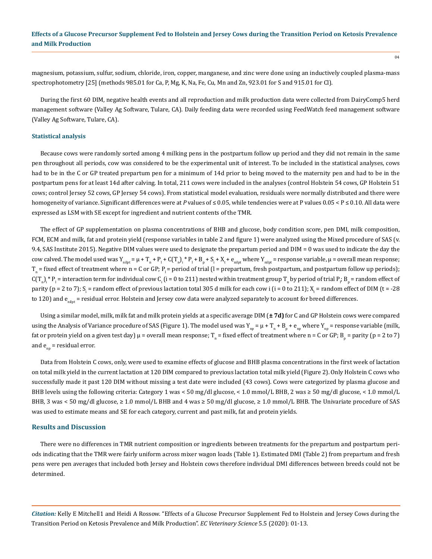magnesium, potassium, sulfur, sodium, chloride, iron, copper, manganese, and zinc were done using an inductively coupled plasma-mass spectrophotometry [25] (methods 985.01 for Ca, P, Mg, K, Na, Fe, Cu, Mn and Zn, 923.01 for S and 915.01 for Cl).

During the first 60 DIM, negative health events and all reproduction and milk production data were collected from DairyComp5 herd management software (Valley Ag Software, Tulare, CA). Daily feeding data were recorded using FeedWatch feed management software (Valley Ag Software, Tulare, CA).

#### **Statistical analysis**

Because cows were randomly sorted among 4 milking pens in the postpartum follow up period and they did not remain in the same pen throughout all periods, cow was considered to be the experimental unit of interest. To be included in the statistical analyses, cows had to be in the C or GP treated prepartum pen for a minimum of 14d prior to being moved to the maternity pen and had to be in the postpartum pens for at least 14d after calving. In total, 211 cows were included in the analyses (control Holstein 54 cows, GP Holstein 51 cows; control Jersey 52 cows, GP Jersey 54 cows). From statistical model evaluation, residuals were normally distributed and there were homogeneity of variance. Significant differences were at *P* values of ≤ 0.05, while tendencies were at P values 0.05 < P ≤ 0.10. All data were expressed as LSM with SE except for ingredient and nutrient contents of the TMR.

The effect of GP supplementation on plasma concentrations of BHB and glucose, body condition score, pen DMI, milk composition, FCM, ECM and milk, fat and protein yield (response variables in table 2 and figure 1) were analyzed using the Mixed procedure of SAS (v. 9.4, SAS Institute 2015). Negative DIM values were used to designate the prepartum period and DIM = 0 was used to indicate the day the cow calved. The model used was  $Y_{\text{nilpt}} = \mu + T_{\text{n}} + P_1 + C(T_{\text{n}})_{\text{i}} * P_1 + B_{\text{p}} + S_{\text{i}} + X_{\text{t}} + e_{\text{nilpt}}$  where  $Y_{\text{nilpt}} = \text{response}$  variable,  $\mu$  = overall mean response;  $T_n$  = fixed effect of treatment where n = C or GP;  $P_i$  = period of trial (l = prepartum, fresh postpartum, and postpartum follow up periods);  $\mathsf{C}(\Gamma_n)_{i\in\mathbb{N}}$  »  $\mathsf{F}_1$  = interaction term for individual cow  $\mathsf{C}_i$  (i = 0 to 211) nested within treatment group  $\Gamma_n$  by period of trial  $\mathsf{P}_i$ ;  $\mathsf{B}_p$  = random effect of parity (p = 2 to 7); S<sub>i</sub> = random effect of previous lactation total 305 d milk for each cow i (i = 0 to 211); X<sub>t</sub> = random effect of DIM (t = -28 to 120) and  $e_{nif}$  = residual error. Holstein and Jersey cow data were analyzed separately to account for breed differences.

Using a similar model, milk, milk fat and milk protein yields at a specific average DIM (**± 7d)** for C and GP Holstein cows were compared using the Analysis of Variance procedure of SAS (Figure 1). The model used was  $Y_{_{np}}= \mu + T_n + B_p + e_{_{np}}$  where  $Y_{_{np}}=$  response variable (milk, fat or protein yield on a given test day)  $\mu$  = overall mean response; T  $_n$  = fixed effect of treatment where n = C or GP; B  $_p$  = parity (p = 2 to 7) and  $e_{nn}$  = residual error.

Data from Holstein C cows, only, were used to examine effects of glucose and BHB plasma concentrations in the first week of lactation on total milk yield in the current lactation at 120 DIM compared to previous lactation total milk yield (Figure 2). Only Holstein C cows who successfully made it past 120 DIM without missing a test date were included (43 cows). Cows were categorized by plasma glucose and BHB levels using the following criteria: Category 1 was < 50 mg/dl glucose, < 1.0 mmol/L BHB, 2 was ≥ 50 mg/dl glucose, < 1.0 mmol/L BHB, 3 was < 50 mg/dl glucose, ≥ 1.0 mmol/L BHB and 4 was ≥ 50 mg/dl glucose, ≥ 1.0 mmol/L BHB. The Univariate procedure of SAS was used to estimate means and SE for each category, current and past milk, fat and protein yields.

### **Results and Discussion**

There were no differences in TMR nutrient composition or ingredients between treatments for the prepartum and postpartum periods indicating that the TMR were fairly uniform across mixer wagon loads (Table 1). Estimated DMI (Table 2) from prepartum and fresh pens were pen averages that included both Jersey and Holstein cows therefore individual DMI differences between breeds could not be determined.

*Citation:* Kelly E Mitchell1 and Heidi A Rossow. "Effects of a Glucose Precursor Supplement Fed to Holstein and Jersey Cows during the Transition Period on Ketosis Prevalence and Milk Production". *EC Veterinary Science* 5.5 (2020): 01-13.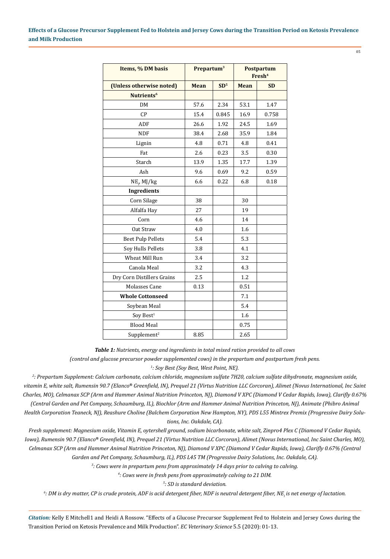05

| Items, % DM basis          | Prepartum <sup>3</sup> |                 | <b>Postpartum</b><br>Fresh <sup>4</sup> |           |  |
|----------------------------|------------------------|-----------------|-----------------------------------------|-----------|--|
| (Unless otherwise noted)   | <b>Mean</b>            | SD <sup>5</sup> | <b>Mean</b>                             | <b>SD</b> |  |
| Nutrients <sup>6</sup>     |                        |                 |                                         |           |  |
| DM                         | 57.6                   | 2.34            | 53.1                                    | 1.47      |  |
| CP                         | 15.4                   | 0.845           | 16.9                                    | 0.758     |  |
| ADF                        | 26.6                   | 1.92            | 24.5                                    | 1.69      |  |
| <b>NDF</b>                 | 38.4                   | 2.68            | 35.9                                    | 1.84      |  |
| Lignin                     | 4.8                    | 0.71            | 4.8                                     | 0.41      |  |
| Fat                        | 2.6                    | 0.23            | 3.5                                     | 0.30      |  |
| Starch                     | 13.9                   | 1.35            | 17.7                                    | 1.39      |  |
| Ash                        | 9.6                    | 0.69            | 9.2                                     | 0.59      |  |
| $NE_{\nu}$ MJ/kg           | 6.6                    | 0.22            | 6.8                                     | 0.18      |  |
| <b>Ingredients</b>         |                        |                 |                                         |           |  |
| Corn Silage                | 38                     |                 | 30                                      |           |  |
| Alfalfa Hay                | 27                     |                 | 19                                      |           |  |
| Corn                       | 4.6                    |                 | 14                                      |           |  |
| Oat Straw                  | 4.0                    |                 | 1.6                                     |           |  |
| <b>Beet Pulp Pellets</b>   | 5.4                    |                 | 5.3                                     |           |  |
| Soy Hulls Pellets          | 3.8                    |                 | 4.1                                     |           |  |
| Wheat Mill Run             | 3.4                    |                 | 3.2                                     |           |  |
| Canola Meal                | 3.2                    |                 | 4.3                                     |           |  |
| Dry Corn Distillers Grains | 2.5                    |                 | 1.2                                     |           |  |
| <b>Molasses Cane</b>       | 0.13                   |                 | 0.51                                    |           |  |
| <b>Whole Cottonseed</b>    |                        |                 | 7.1                                     |           |  |
| Soybean Meal               |                        |                 | 5.4                                     |           |  |
| Soy Best <sup>1</sup>      |                        |                 | 1.6                                     |           |  |
| <b>Blood Meal</b>          |                        |                 | 0.75                                    |           |  |
| Supplement <sup>2</sup>    | 8.85                   |                 | 2.65                                    |           |  |

*Table 1: Nutrients, energy and ingredients in total mixed ration provided to all cows (control and glucose precursor powder supplemented cows) in the prepartum and postpartum fresh pens. 1 : Soy Best (Soy Best, West Point, NE).*

*2 : Prepartum Supplement: Calcium carbonate, calcium chloride, magnesium sulfate 7H20, calcium sulfate dihydronate, magnesium oxide, vitamin E, white salt, Rumensin 90.7 (Elanco® Greenfield, IN), Prequel 21 (Virtus Nutrition LLC Corcoran), Alimet (Novus International, Inc Saint Charles, MO), Celmanax SCP (Arm and Hammer Animal Nutrition Princeton, NJ), Diamond V XPC (Diamond V Cedar Rapids, Iowa), Clarifly 0.67% (Central Garden and Pet Company, Schaumburg, IL), Biochlor (Arm and Hammer Animal Nutrition Princeton, NJ), Animate (Phibro Animal Health Corporation Teaneck, NJ), Reashure Choline (Balchem Corporation New Hampton, NY), PDS L55 Mintrex Premix (Progressive Dairy Solutions, Inc. Oakdale, CA).*

*Fresh supplement: Magnesium oxide, Vitamin E, oytershell ground, sodium bicarbonate, white salt, Zinpro4 Plex C (Diamond V Cedar Rapids, Iowa), Rumensin 90.7 (Elanco® Greenfield, IN), Prequel 21 (Virtus Nutrition LLC Corcoran), Alimet (Novus International, Inc Saint Charles, MO), Celmanax SCP (Arm and Hammer Animal Nutrition Princeton, NJ), Diamond V XPC (Diamond V Cedar Rapids, Iowa), Clarifly 0.67% (Central Garden and Pet Company, Schaumburg, IL), PDS L45 TM (Progressive Dairy Solutions, Inc. Oakdale, CA).*

*3 : Cows were in prepartum pens from approximately 14 days prior to calving to calving.*

*4 : Cows were in fresh pens from approximately calving to 21 DIM.*

*5 : SD is standard deviation.*

*6 : DM is dry matter, CP is crude protein, ADF is acid detergent fiber, NDF is neutral detergent fiber, NE<sup>l</sup> is net energy of lactation.*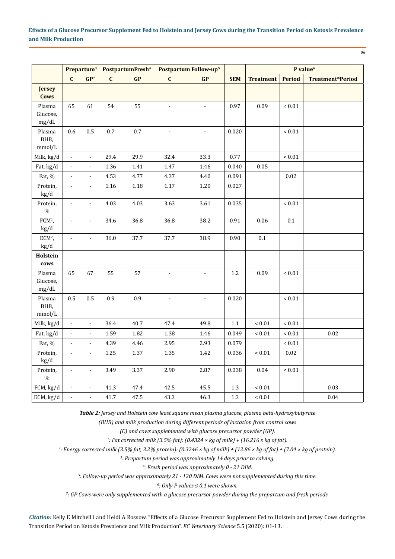| i<br>W                      |
|-----------------------------|
| I<br>٦<br>۰,<br>$\sim$<br>× |

|                             |                             | Prepartum <sup>3</sup>   |              | PostpartumFresh <sup>4</sup> |                          | Postpartum Follow-up <sup>5</sup> |            | P value <sup>6</sup> |               |                         |
|-----------------------------|-----------------------------|--------------------------|--------------|------------------------------|--------------------------|-----------------------------------|------------|----------------------|---------------|-------------------------|
|                             | $\mathbf{C}$                | GP <sup>7</sup>          | $\mathbf{C}$ | GP                           | $\mathbf{C}$             | GP                                | <b>SEM</b> | <b>Treatment</b>     | <b>Period</b> | <b>Treatment*Period</b> |
| <b>Jersey</b><br>Cows       |                             |                          |              |                              |                          |                                   |            |                      |               |                         |
| Plasma<br>Glucose,<br>mg/dL | 65                          | 61                       | 54           | 55                           | $\overline{\phantom{a}}$ | $\blacksquare$                    | 0.97       | 0.09                 | $< 0.01\,$    |                         |
| Plasma<br>BHB,<br>mmol/L    | 0.6                         | 0.5                      | $0.7\,$      | $0.7\,$                      | $\blacksquare$           | $\overline{a}$                    | 0.020      |                      | $< 0.01\,$    |                         |
| Milk, kg/d                  | $\blacksquare$              | $\Box$                   | 29.4         | 29.9                         | 32.4                     | 33.3                              | 0.77       |                      | $< 0.01$      |                         |
| Fat, kg/d                   |                             | $\Box$                   | 1.36         | $1.41\,$                     | 1.47                     | 1.46                              | 0.040      | 0.05                 |               |                         |
| Fat, %                      | L,                          | $\blacksquare$           | 4.53         | 4.77                         | 4.37                     | 4.40                              | 0.091      |                      | $0.02\,$      |                         |
| Protein,<br>kg/d            | $\blacksquare$              | $\overline{a}$           | 1.16         | 1.18                         | $1.17\,$                 | 1.20                              | 0.027      |                      |               |                         |
| Protein,<br>$\%$            |                             | $\overline{a}$           | 4.03         | 4.03                         | 3.63                     | 3.61                              | 0.035      |                      | ${}< 0.01$    |                         |
| $FCM1$ ,<br>kg/d            | $\overline{a}$              | $\blacksquare$           | 34.6         | 36.8                         | 36.8                     | 38.2                              | 0.91       | 0.06                 | 0.1           |                         |
| $ECM2$ ,<br>kg/d            | $\mathbb{L}$                | $\bar{\phantom{a}}$      | 36.0         | 37.7                         | 37.7                     | 38.9                              | 0.90       | $0.1\,$              |               |                         |
| Holstein<br>cows            |                             |                          |              |                              |                          |                                   |            |                      |               |                         |
| Plasma<br>Glucose,<br>mg/dL | 65                          | 67                       | 55           | 57                           | $\overline{\phantom{a}}$ | $\omega$                          | $1.2\,$    | 0.09                 | $< 0.01$      |                         |
| Plasma<br>BHB,<br>mmol/L    | 0.5                         | 0.5                      | 0.9          | 0.9                          | $\blacksquare$           | ÷.                                | 0.020      |                      | $< 0.01$      |                         |
| Milk, kg/d                  | $\mathcal{L}_{\mathcal{A}}$ | $\blacksquare$           | 36.4         | 40.7                         | 47.4                     | 49.8                              | $1.1\,$    | $< 0.01$             | $< 0.01$      |                         |
| Fat, kg/d                   | ä,                          | $\overline{\phantom{a}}$ | 1.59         | 1.82                         | 1.38                     | 1.46                              | 0.049      | $< 0.01$             | $< 0.01$      | $0.02\,$                |
| Fat, %                      | $\overline{a}$              | $\Box$                   | 4.39         | 4.46                         | 2.95                     | 2.93                              | 0.079      |                      | ${}< 0.01$    |                         |
| Protein,<br>kg/d            |                             | $\overline{a}$           | 1.25         | 1.37                         | 1.35                     | 1.42                              | 0.036      | ${}< 0.01$           | $0.02\,$      |                         |
| Protein,<br>$\%$            | $\frac{1}{2}$               | $\Box$                   | 3.49         | 3.37                         | 2.90                     | 2.87                              | 0.038      | $0.04\,$             | ${}< 0.01$    |                         |
| FCM, kg/d                   | $\overline{a}$              | $\overline{\phantom{a}}$ | $41.3\,$     | $47.4\,$                     | 42.5                     | 45.5                              | $1.3\,$    | $< 0.01$             |               | 0.03                    |
| ECM, kg/d                   |                             | $\frac{1}{2}$            | 41.7         | 47.5                         | 43.3                     | 46.3                              | $1.3\,$    | ${}< 0.01$           |               | 0.04                    |

*Table 2: Jersey and Holstein cow least square mean plasma glucose, plasma beta-hydroxybutyrate* 

*(BHB) and milk production during different periods of lactation from control cows* 

*(C) and cows supplemented with glucose precursor powder (GP).*

*1 : Fat corrected milk (3.5% fat): (0.4324 × kg of milk) + (16.216 x kg of fat).* 

*2 : Energy corrected milk (3.5% fat, 3.2% protein): (0.3246 × kg of milk) + (12.86 × kg of fat) + (7.04 × kg of protein).*

*3 : Prepartum period was approximately 14 days prior to calving.*

*4 : Fresh period was approximately 0 - 21 DIM.*

*5 : Follow-up period was approximately 21 - 120 DIM. Cows were not supplemented during this time.*

*6 : Only P values ≤ 0.1 were shown.*

*7 : GP Cows were only supplemented with a glucose precursor powder during the prepartum and fresh periods.*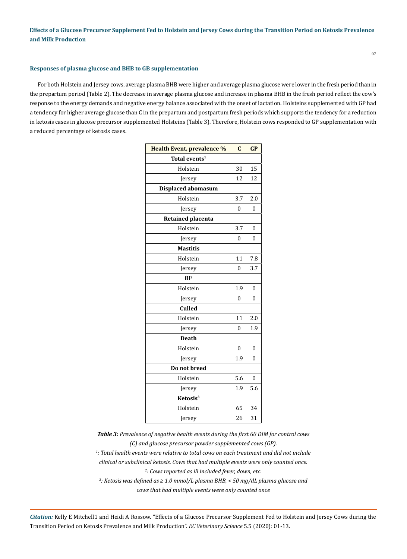## **Responses of plasma glucose and BHB to GB supplementation**

For both Holstein and Jersey cows, average plasma BHB were higher and average plasma glucose were lower in the fresh period than in the prepartum period (Table 2). The decrease in average plasma glucose and increase in plasma BHB in the fresh period reflect the cow's response to the energy demands and negative energy balance associated with the onset of lactation. Holsteins supplemented with GP had a tendency for higher average glucose than C in the prepartum and postpartum fresh periods which supports the tendency for a reduction in ketosis cases in glucose precursor supplemented Holsteins (Table 3). Therefore, Holstein cows responded to GP supplementation with a reduced percentage of ketosis cases.

| <b>Health Event, prevalence %</b> | $\mathbf{C}$   | GP           |
|-----------------------------------|----------------|--------------|
| Total events <sup>1</sup>         |                |              |
| Holstein                          | 30             | 15           |
| Jersey                            | 12             | 12           |
| <b>Displaced abomasum</b>         |                |              |
| Holstein                          | 3.7            | 2.0          |
| Jersey                            | $\theta$       | $\mathbf{0}$ |
| <b>Retained placenta</b>          |                |              |
| Holstein                          | 3.7            | 0            |
| Jersey                            | 0              | 0            |
| <b>Mastitis</b>                   |                |              |
| Holstein                          | 11             | 7.8          |
| Jersey                            | $\overline{0}$ | 3.7          |
| III <sup>2</sup>                  |                |              |
| Holstein                          | 1.9            | 0            |
| Jersey                            | $\mathbf{0}$   | 0            |
| <b>Culled</b>                     |                |              |
| Holstein                          | 11             | 2.0          |
| Jersey                            | $\mathbf{0}$   | 1.9          |
| <b>Death</b>                      |                |              |
| Holstein                          | $\theta$       | 0            |
| Jersey                            | 1.9            | $\theta$     |
| Do not breed                      |                |              |
| Holstein                          | 5.6            | $\theta$     |
| Jersey                            | 1.9            | 5.6          |
| Ketosis <sup>3</sup>              |                |              |
| Holstein                          | 65             | 34           |
| Jersey                            | 26             | 31           |

*Table 3: Prevalence of negative health events during the first 60 DIM for control cows (C) and glucose precursor powder supplemented cows (GP).*

*1 : Total health events were relative to total cows on each treatment and did not include* 

*clinical or subclinical ketosis. Cows that had multiple events were only counted once.*

*2 : Cows reported as ill included fever, down, etc.*

*3 : Ketosis was defined as ≥ 1.0 mmol/L plasma BHB, < 50 mg/dL plasma glucose and cows that had multiple events were only counted once*

*Citation:* Kelly E Mitchell1 and Heidi A Rossow. "Effects of a Glucose Precursor Supplement Fed to Holstein and Jersey Cows during the Transition Period on Ketosis Prevalence and Milk Production". *EC Veterinary Science* 5.5 (2020): 01-13.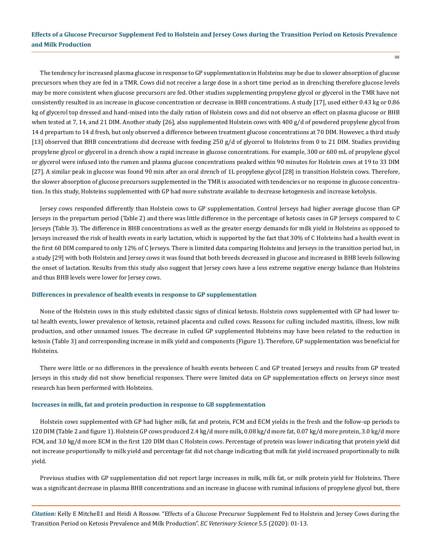The tendency for increased plasma glucose in response to GP supplementation in Holsteins may be due to slower absorption of glucose precursors when they are fed in a TMR. Cows did not receive a large dose in a short time period as in drenching therefore glucose levels may be more consistent when glucose precursors are fed. Other studies supplementing propylene glycol or glycerol in the TMR have not consistently resulted in an increase in glucose concentration or decrease in BHB concentrations. A study [17], used either 0.43 kg or 0.86 kg of glycerol top dressed and hand-mixed into the daily ration of Holstein cows and did not observe an effect on plasma glucose or BHB when tested at 7, 14, and 21 DIM. Another study [26], also supplemented Holstein cows with 400 g/d of powdered propylene glycol from 14 d prepartum to 14 d fresh, but only observed a difference between treatment glucose concentrations at 70 DIM. However, a third study [13] observed that BHB concentrations did decrease with feeding 250 g/d of glycerol to Holsteins from 0 to 21 DIM. Studies providing propylene glycol or glycerol in a drench show a rapid increase in glucose concentrations. For example, 300 or 600 mL of propylene glycol or glycerol were infused into the rumen and plasma glucose concentrations peaked within 90 minutes for Holstein cows at 19 to 33 DIM [27]. A similar peak in glucose was found 90 min after an oral drench of 1L propylene glycol [28] in transition Holstein cows. Therefore, the slower absorption of glucose precursors supplemented in the TMR is associated with tendencies or no response in glucose concentration. In this study, Holsteins supplemented with GP had more substrate available to decrease ketogenesis and increase ketolysis.

Jersey cows responded differently than Holstein cows to GP supplementation. Control Jerseys had higher average glucose than GP Jerseys in the prepartum period (Table 2) and there was little difference in the percentage of ketosis cases in GP Jerseys compared to C Jerseys (Table 3). The difference in BHB concentrations as well as the greater energy demands for milk yield in Holsteins as opposed to Jerseys increased the risk of health events in early lactation, which is supported by the fact that 30% of C Holsteins had a health event in the first 60 DIM compared to only 12% of C Jerseys. There is limited data comparing Holsteins and Jerseys in the transition period but, in a study [29] with both Holstein and Jersey cows it was found that both breeds decreased in glucose and increased in BHB levels following the onset of lactation. Results from this study also suggest that Jersey cows have a less extreme negative energy balance than Holsteins and thus BHB levels were lower for Jersey cows.

#### **Differences in prevalence of health events in response to GP supplementation**

None of the Holstein cows in this study exhibited classic signs of clinical ketosis. Holstein cows supplemented with GP had lower total health events, lower prevalence of ketosis, retained placenta and culled cows. Reasons for culling included mastitis, illness, low milk production, and other unnamed issues. The decrease in culled GP supplemented Holsteins may have been related to the reduction in ketosis (Table 3) and corresponding increase in milk yield and components (Figure 1). Therefore, GP supplementation was beneficial for Holsteins.

There were little or no differences in the prevalence of health events between C and GP treated Jerseys and results from GP treated Jerseys in this study did not show beneficial responses. There were limited data on GP supplementation effects on Jerseys since most research has been performed with Holsteins.

#### **Increases in milk, fat and protein production in response to GB supplementation**

Holstein cows supplemented with GP had higher milk, fat and protein, FCM and ECM yields in the fresh and the follow-up periods to 120 DIM (Table 2 and figure 1). Holstein GP cows produced 2.4 kg/d more milk, 0.08 kg/d more fat, 0.07 kg/d more protein, 3.0 kg/d more FCM, and 3.0 kg/d more ECM in the first 120 DIM than C Holstein cows. Percentage of protein was lower indicating that protein yield did not increase proportionally to milk yield and percentage fat did not change indicating that milk fat yield increased proportionally to milk yield.

Previous studies with GP supplementation did not report large increases in milk, milk fat, or milk protein yield for Holsteins. There was a significant decrease in plasma BHB concentrations and an increase in glucose with ruminal infusions of propylene glycol but, there

*Citation:* Kelly E Mitchell1 and Heidi A Rossow. "Effects of a Glucose Precursor Supplement Fed to Holstein and Jersey Cows during the Transition Period on Ketosis Prevalence and Milk Production". *EC Veterinary Science* 5.5 (2020): 01-13.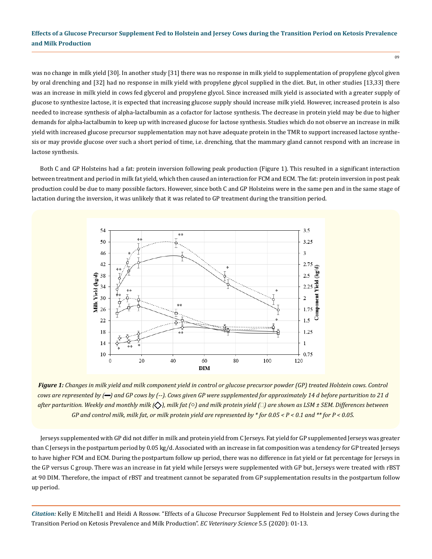was no change in milk yield [30]. In another study [31] there was no response in milk yield to supplementation of propylene glycol given by oral drenching and [32] had no response in milk yield with propylene glycol supplied in the diet. But, in other studies [13,33] there was an increase in milk yield in cows fed glycerol and propylene glycol. Since increased milk yield is associated with a greater supply of glucose to synthesize lactose, it is expected that increasing glucose supply should increase milk yield. However, increased protein is also needed to increase synthesis of alpha-lactalbumin as a cofactor for lactose synthesis. The decrease in protein yield may be due to higher demands for alpha-lactalbumin to keep up with increased glucose for lactose synthesis. Studies which do not observe an increase in milk yield with increased glucose precursor supplementation may not have adequate protein in the TMR to support increased lactose synthesis or may provide glucose over such a short period of time, i.e. drenching, that the mammary gland cannot respond with an increase in lactose synthesis.

Both C and GP Holsteins had a fat: protein inversion following peak production (Figure 1). This resulted in a significant interaction between treatment and period in milk fat yield, which then caused an interaction for FCM and ECM. The fat: protein inversion in post peak production could be due to many possible factors. However, since both C and GP Holsteins were in the same pen and in the same stage of lactation during the inversion, it was unlikely that it was related to GP treatment during the transition period.



*Figure 1: Changes in milk yield and milk component yield in control or glucose precursor powder (GP) treated Holstein cows. Control cows are represented by (-) and GP cows by (--). Cows given GP were supplemented for approximately 14 d before parturition to 21 d after parturition. Weekly and monthly milk (◇), milk fat (○) and milk protein yield (□) are shown as LSM ± SEM. Differences between GP and control milk, milk fat, or milk protein yield are represented by \* for 0.05 < P < 0.1 and \*\* for P < 0.05.*

Jerseys supplemented with GP did not differ in milk and protein yield from C Jerseys. Fat yield for GP supplemented Jerseys was greater than C Jerseys in the postpartum period by 0.05 kg/d. Associated with an increase in fat composition was a tendency for GP treated Jerseys to have higher FCM and ECM. During the postpartum follow up period, there was no difference in fat yield or fat percentage for Jerseys in the GP versus C group. There was an increase in fat yield while Jerseys were supplemented with GP but, Jerseys were treated with rBST at 90 DIM. Therefore, the impact of rBST and treatment cannot be separated from GP supplementation results in the postpartum follow up period.

*Citation:* Kelly E Mitchell1 and Heidi A Rossow. "Effects of a Glucose Precursor Supplement Fed to Holstein and Jersey Cows during the Transition Period on Ketosis Prevalence and Milk Production". *EC Veterinary Science* 5.5 (2020): 01-13.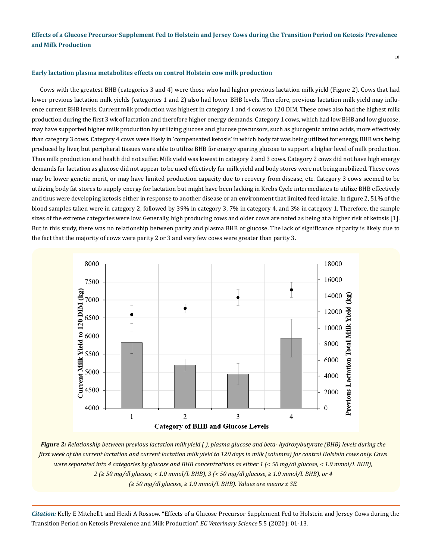#### **Early lactation plasma metabolites effects on control Holstein cow milk production**

Cows with the greatest BHB (categories 3 and 4) were those who had higher previous lactation milk yield (Figure 2). Cows that had lower previous lactation milk yields (categories 1 and 2) also had lower BHB levels. Therefore, previous lactation milk yield may influence current BHB levels. Current milk production was highest in category 1 and 4 cows to 120 DIM. These cows also had the highest milk production during the first 3 wk of lactation and therefore higher energy demands. Category 1 cows, which had low BHB and low glucose, may have supported higher milk production by utilizing glucose and glucose precursors, such as glucogenic amino acids, more effectively than category 3 cows. Category 4 cows were likely in 'compensated ketosis' in which body fat was being utilized for energy, BHB was being produced by liver, but peripheral tissues were able to utilize BHB for energy sparing glucose to support a higher level of milk production. Thus milk production and health did not suffer. Milk yield was lowest in category 2 and 3 cows. Category 2 cows did not have high energy demands for lactation as glucose did not appear to be used effectively for milk yield and body stores were not being mobilized. These cows may be lower genetic merit, or may have limited production capacity due to recovery from disease, etc. Category 3 cows seemed to be utilizing body fat stores to supply energy for lactation but might have been lacking in Krebs Cycle intermediates to utilize BHB effectively and thus were developing ketosis either in response to another disease or an environment that limited feed intake. In figure 2, 51% of the blood samples taken were in category 2, followed by 39% in category 3, 7% in category 4, and 3% in category 1. Therefore, the sample sizes of the extreme categories were low. Generally, high producing cows and older cows are noted as being at a higher risk of ketosis [1]. But in this study, there was no relationship between parity and plasma BHB or glucose. The lack of significance of parity is likely due to the fact that the majority of cows were parity 2 or 3 and very few cows were greater than parity 3.



*Figure 2: Relationship between previous lactation milk yield ( ), plasma glucose and beta- hydroxybutyrate (BHB) levels during the first week of the current lactation and current lactation milk yield to 120 days in milk (columns) for control Holstein cows only. Cows were separated into 4 categories by glucose and BHB concentrations as either 1 (< 50 mg/dl glucose, < 1.0 mmol/L BHB), 2 (≥ 50 mg/dl glucose, < 1.0 mmol/L BHB), 3 (< 50 mg/dl glucose, ≥ 1.0 mmol/L BHB), or 4 (≥ 50 mg/dl glucose, ≥ 1.0 mmol/L BHB). Values are means ± SE.*

*Citation:* Kelly E Mitchell1 and Heidi A Rossow. "Effects of a Glucose Precursor Supplement Fed to Holstein and Jersey Cows during the Transition Period on Ketosis Prevalence and Milk Production". *EC Veterinary Science* 5.5 (2020): 01-13.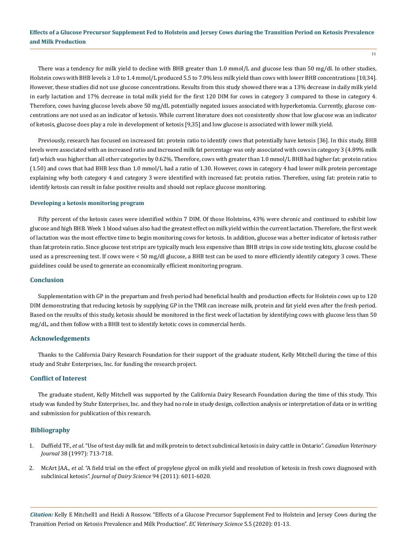There was a tendency for milk yield to decline with BHB greater than 1.0 mmol/L and glucose less than 50 mg/dl. In other studies, Holstein cows with BHB levels ≥ 1.0 to 1.4 mmol/L produced 5.5 to 7.0% less milk yield than cows with lower BHB concentrations [10,34]. However, these studies did not use glucose concentrations. Results from this study showed there was a 13% decrease in daily milk yield in early lactation and 17% decrease in total milk yield for the first 120 DIM for cows in category 3 compared to those in category 4. Therefore, cows having glucose levels above 50 mg/dL potentially negated issues associated with hyperketomia. Currently, glucose concentrations are not used as an indicator of ketosis. While current literature does not consistently show that low glucose was an indicator of ketosis, glucose does play a role in development of ketosis [9,35] and low glucose is associated with lower milk yield.

Previously, research has focused on increased fat: protein ratio to identify cows that potentially have ketosis [36]. In this study, BHB levels were associated with an increased ratio and increased milk fat percentage was only associated with cows in category 3 (4.89% milk fat) which was higher than all other categories by 0.62%. Therefore, cows with greater than 1.0 mmol/L BHB had higher fat: protein ratios (1.50) and cows that had BHB less than 1.0 mmol/L had a ratio of 1.30. However, cows in category 4 had lower milk protein percentage explaining why both category 4 and category 3 were identified with increased fat: protein ratios. Therefore, using fat: protein ratio to identify ketosis can result in false positive results and should not replace glucose monitoring.

#### **Developing a ketosis monitoring program**

Fifty percent of the ketosis cases were identified within 7 DIM. Of those Holsteins, 43% were chronic and continued to exhibit low glucose and high BHB. Week 1 blood values also had the greatest effect on milk yield within the current lactation. Therefore, the first week of lactation was the most effective time to begin monitoring cows for ketosis. In addition, glucose was a better indicator of ketosis rather than fat:protein ratio. Since glucose test strips are typically much less expensive than BHB strips in cow side testing kits, glucose could be used as a prescreening test. If cows were < 50 mg/dl glucose, a BHB test can be used to more efficiently identify category 3 cows. These guidelines could be used to generate an economically efficient monitoring program.

## **Conclusion**

Supplementation with GP in the prepartum and fresh period had beneficial health and production effects for Holstein cows up to 120 DIM demonstrating that reducing ketosis by supplying GP in the TMR can increase milk, protein and fat yield even after the fresh period. Based on the results of this study, ketosis should be monitored in the first week of lactation by identifying cows with glucose less than 50 mg/dL, and then follow with a BHB test to identify ketotic cows in commercial herds.

#### **Acknowledgements**

Thanks to the California Dairy Research Foundation for their support of the graduate student, Kelly Mitchell during the time of this study and Stuhr Enterprises, Inc. for funding the research project.

#### **Conflict of Interest**

The graduate student, Kelly Mitchell was supported by the California Dairy Research Foundation during the time of this study. This study was funded by Stuhr Enterprises, Inc. and they had no role in study design, collection analysis or interpretation of data or in writing and submission for publication of this research.

### **Bibliography**

- 1. Duffield TF., *et al*[. "Use of test day milk fat and milk protein to detect subclinical ketosis in dairy cattle in Ontario".](https://www.semanticscholar.org/paper/Use-of-test-day-milk-fat-and-milk-protein-to-detect-Duffield-Kelton/171483b1f20ae8fe699d1c9cf916d2b283ca613f) *Canadian Veterinary Journal* [38 \(1997\): 713-718.](https://www.semanticscholar.org/paper/Use-of-test-day-milk-fat-and-milk-protein-to-detect-Duffield-Kelton/171483b1f20ae8fe699d1c9cf916d2b283ca613f)
- 2. McArt JAA., *et al*[. "A field trial on the effect of propylene glycol on milk yield and resolution of ketosis in fresh cows diagnosed with](https://www.ncbi.nlm.nih.gov/pubmed/22118089)  subclinical ketosis". *[Journal of Dairy Science](https://www.ncbi.nlm.nih.gov/pubmed/22118089)* 94 (2011): 6011-6020.

*Citation:* Kelly E Mitchell1 and Heidi A Rossow. "Effects of a Glucose Precursor Supplement Fed to Holstein and Jersey Cows during the Transition Period on Ketosis Prevalence and Milk Production". *EC Veterinary Science* 5.5 (2020): 01-13.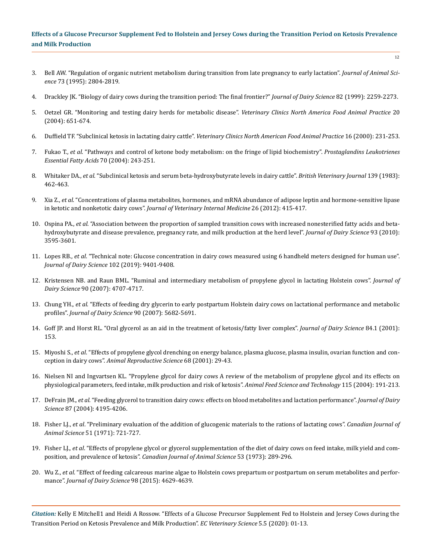- 3. [Bell AW. "Regulation of organic nutrient metabolism during transition from late pregnancy to early lactation".](https://pdfs.semanticscholar.org/3375/831a2d1c3cf22624606fe6e33d14295dedcc.pdf) *Journal of Animal Science* [73 \(1995\): 2804-2819.](https://pdfs.semanticscholar.org/3375/831a2d1c3cf22624606fe6e33d14295dedcc.pdf)
- 4. [Drackley JK. "Biology of dairy cows during the transition period: The final frontier?"](https://www.sciencedirect.com/science/article/pii/S0022030299754743) *Journal of Dairy Science* 82 (1999): 2259-2273.
- 5. [Oetzel GR. "Monitoring and testing dairy herds for metabolic disease".](https://www.ncbi.nlm.nih.gov/pubmed/15471629) *Veterinary Clinics North America Food Animal Practice* 20 [\(2004\): 651-674.](https://www.ncbi.nlm.nih.gov/pubmed/15471629)
- 6. [Duffield TF. "Subclinical ketosis in lactating dairy cattle".](https://www.sciencedirect.com/science/article/abs/pii/S0749072015301031) *Veterinary Clinics North American Food Animal Practice* 16 (2000): 231-253.
- 7. Fukao T., *et al*[. "Pathways and control of ketone body metabolism: on the fringe of lipid biochemistry".](https://www.ncbi.nlm.nih.gov/pubmed/14769483) *Prostaglandins Leukotrienes [Essential Fatty Acids](https://www.ncbi.nlm.nih.gov/pubmed/14769483)* 70 (2004): 243-251.
- 8. Whitaker DA., *et al*[. "Subclinical ketosis and serum beta-hydroxybutyrate levels in dairy cattle".](https://www.ncbi.nlm.nih.gov/pubmed/6626936) *British Veterinary Journal* 139 (1983): [462-463.](https://www.ncbi.nlm.nih.gov/pubmed/6626936)
- 9. Xia Z., *et al*[. "Concentrations of plasma metabolites, hormones, and mRNA abundance of adipose leptin and hormone-sensitive lipase](https://www.ncbi.nlm.nih.gov/pubmed/22296673) [in ketotic and nonketotic dairy cows".](https://www.ncbi.nlm.nih.gov/pubmed/22296673) *Journal of Veterinary Internal Medicine* 26 (2012): 415-417.
- 10. Ospina PA., *et al*[. "Association between the proportion of sampled transition cows with increased nonesterified fatty acids and beta](https://www.ncbi.nlm.nih.gov/pubmed/20655428)[hydroxybutyrate and disease prevalence, pregnancy rate, and milk production at the herd level".](https://www.ncbi.nlm.nih.gov/pubmed/20655428) *Journal of Dairy Science* 93 (2010): [3595-3601.](https://www.ncbi.nlm.nih.gov/pubmed/20655428)
- 11. Lopes RB., *et al*[. "Technical note: Glucose concentration in dairy cows measured using 6 handheld meters designed for human use".](https://www.researchgate.net/publication/334859238_Technical_note_Glucose_concentration_in_dairy_cows_measured_using_6_handheld_meters_designed_for_human_use) *[Journal of Dairy Science](https://www.researchgate.net/publication/334859238_Technical_note_Glucose_concentration_in_dairy_cows_measured_using_6_handheld_meters_designed_for_human_use)* 102 (2019): 9401-9408.
- 12. [Kristensen NB. and Raun BML. "Ruminal and intermediary metabolism of propylene glycol in lactating Holstein cows".](https://www.journalofdairyscience.org/article/S0022-0302(07)71936-7/pdf) *Journal of Dairy Science* [90 \(2007\): 4707-4717.](https://www.journalofdairyscience.org/article/S0022-0302(07)71936-7/pdf)
- 13. Chung YH., *et al*[. "Effects of feeding dry glycerin to early postpartum Holstein dairy cows on lactational performance and metabolic](https://www.ncbi.nlm.nih.gov/pubmed/18024760)  profiles". *[Journal of Dairy Science](https://www.ncbi.nlm.nih.gov/pubmed/18024760)* 90 (2007): 5682-5691.
- 14. Goff JP. and Horst RL. "Oral glycerol as an aid in the treatment of ketosis/fatty liver complex". *Journal of Dairy Science* 84.1 (2001): 153.
- 15. Miyoshi S., *et al*[. "Effects of propylene glycol drenching on energy balance, plasma glucose, plasma insulin, ovarian function and con](https://europepmc.org/article/med/11600272)ception in dairy cows". *[Animal Reproductive Science](https://europepmc.org/article/med/11600272)* 68 (2001): 29-43.
- 16. [Nielsen NI and Ingvartsen KL. "Propylene glycol for dairy cows A review of the metabolism of propylene glycol and its effects on](https://www.sciencedirect.com/science/article/pii/S0377840104000811) [physiological parameters, feed intake, milk production and risk of ketosis".](https://www.sciencedirect.com/science/article/pii/S0377840104000811) *Animal Feed Science and Technology* 115 (2004): 191-213.
- 17. DeFrain JM., *et al*[. "Feeding glycerol to transition dairy cows: effects on blood metabolites and lactation performance".](https://www.sciencedirect.com/science/article/pii/S002203020473564X) *Journal of Dairy Science* [87 \(2004\): 4195-4206.](https://www.sciencedirect.com/science/article/pii/S002203020473564X)
- 18. Fisher LJ., *et al*. "Preliminary evaluation of the addition of glucogenic materials to the rations of lactating cows". *Canadian Journal of Animal Science* 51 (1971): 721-727.
- 19. Fisher LJ., *et al*[. "Effects of propylene glycol or glycerol supplementation of the diet of dairy cows on feed intake, milk yield and com](https://www.nrcresearchpress.com/doi/pdfplus/10.4141/cjas73-045)position, and prevalence of ketosis". *[Canadian Journal of Animal Science](https://www.nrcresearchpress.com/doi/pdfplus/10.4141/cjas73-045)* 53 (1973): 289-296.
- 20. Wu Z., *et al*[. "Effect of feeding calcareous marine algae to Holstein cows prepartum or postpartum on serum metabolites and perfor](https://www.ncbi.nlm.nih.gov/pubmed/25935240)mance". *[Journal of Dairy Science](https://www.ncbi.nlm.nih.gov/pubmed/25935240)* 98 (2015): 4629-4639.

*Citation:* Kelly E Mitchell1 and Heidi A Rossow. "Effects of a Glucose Precursor Supplement Fed to Holstein and Jersey Cows during the Transition Period on Ketosis Prevalence and Milk Production". *EC Veterinary Science* 5.5 (2020): 01-13.